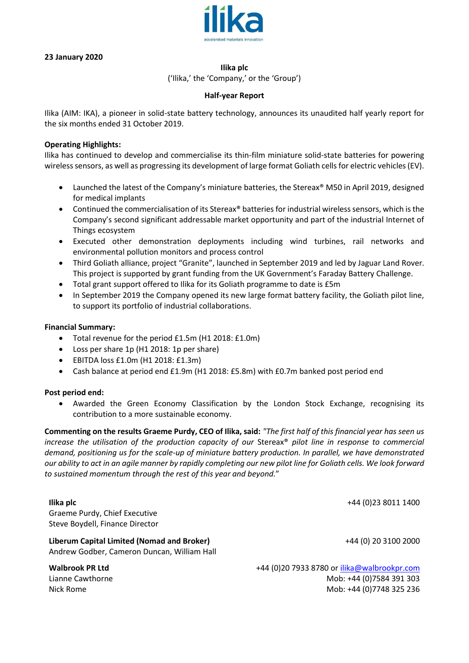

## **23 January 2020**

#### **Ilika plc**

('Ilika,' the 'Company,' or the 'Group')

#### **Half-year Report**

Ilika (AIM: IKA), a pioneer in solid-state battery technology, announces its unaudited half yearly report for the six months ended 31 October 2019.

## **Operating Highlights:**

Ilika has continued to develop and commercialise its thin-film miniature solid-state batteries for powering wireless sensors, as well as progressing its development of large format Goliath cells for electric vehicles (EV).

- Launched the latest of the Company's miniature batteries, the Stereax® M50 in April 2019, designed for medical implants
- Continued the commercialisation of its Stereax® batteries for industrial wireless sensors, which is the Company's second significant addressable market opportunity and part of the industrial Internet of Things ecosystem
- Executed other demonstration deployments including wind turbines, rail networks and environmental pollution monitors and process control
- Third Goliath alliance, project "Granite", launched in September 2019 and led by Jaguar Land Rover. This project is supported by grant funding from the UK Government's Faraday Battery Challenge.
- Total grant support offered to Ilika for its Goliath programme to date is £5m
- In September 2019 the Company opened its new large format battery facility, the Goliath pilot line, to support its portfolio of industrial collaborations.

#### **Financial Summary:**

- Total revenue for the period £1.5m (H1 2018: £1.0m)
- Loss per share 1p (H1 2018: 1p per share)
- EBITDA loss £1.0m (H1 2018: £1.3m)
- Cash balance at period end £1.9m (H1 2018: £5.8m) with £0.7m banked post period end

#### **Post period end:**

• Awarded the Green Economy Classification by the London Stock Exchange, recognising its contribution to a more sustainable economy.

**Commenting on the results Graeme Purdy, CEO of Ilika, said:** *"The first half of this financial year has seen us increase the utilisation of the production capacity of our Stereax® pilot line in response to commercial demand, positioning us for the scale-up of miniature battery production. In parallel, we have demonstrated our ability to act in an agile manner by rapidly completing our new pilot line for Goliath cells. We look forward to sustained momentum through the rest of this year and beyond.*"

**Ilika plc**  Graeme Purdy, Chief Executive Steve Boydell, Finance Director +44 (0)23 8011 1400 **Liberum Capital Limited (Nomad and Broker)** Andrew Godber, Cameron Duncan, William Hall +44 (0) 20 3100 2000 **Walbrook PR Ltd** +44 (0)20 7933 8780 or [ilika@walbrookpr.com](mailto:ilika@walbrookpr.com) Lianne Cawthorne Mob: +44 (0)7584 391 303 Nick Rome Mob: +44 (0)7748 325 236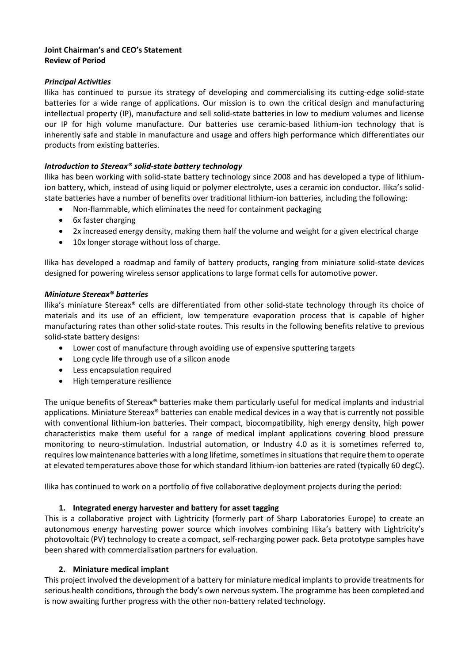## **Joint Chairman's and CEO's Statement Review of Period**

## *Principal Activities*

Ilika has continued to pursue its strategy of developing and commercialising its cutting-edge solid-state batteries for a wide range of applications. Our mission is to own the critical design and manufacturing intellectual property (IP), manufacture and sell solid-state batteries in low to medium volumes and license our IP for high volume manufacture. Our batteries use ceramic-based lithium-ion technology that is inherently safe and stable in manufacture and usage and offers high performance which differentiates our products from existing batteries.

## *Introduction to Stereax® solid-state battery technology*

Ilika has been working with solid-state battery technology since 2008 and has developed a type of lithiumion battery, which, instead of using liquid or polymer electrolyte, uses a ceramic ion conductor. Ilika's solidstate batteries have a number of benefits over traditional lithium-ion batteries, including the following:

- Non-flammable, which eliminates the need for containment packaging
- 6x faster charging
- 2x increased energy density, making them half the volume and weight for a given electrical charge
- 10x longer storage without loss of charge.

Ilika has developed a roadmap and family of battery products, ranging from miniature solid-state devices designed for powering wireless sensor applications to large format cells for automotive power.

## *Miniature Stereax® batteries*

Ilika's miniature Stereax® cells are differentiated from other solid-state technology through its choice of materials and its use of an efficient, low temperature evaporation process that is capable of higher manufacturing rates than other solid-state routes. This results in the following benefits relative to previous solid-state battery designs:

- Lower cost of manufacture through avoiding use of expensive sputtering targets
- Long cycle life through use of a silicon anode
- Less encapsulation required
- High temperature resilience

The unique benefits of Stereax® batteries make them particularly useful for medical implants and industrial applications. Miniature Stereax® batteries can enable medical devices in a way that is currently not possible with conventional lithium-ion batteries. Their compact, biocompatibility, high energy density, high power characteristics make them useful for a range of medical implant applications covering blood pressure monitoring to neuro-stimulation. Industrial automation, or Industry 4.0 as it is sometimes referred to, requires low maintenance batteries with a long lifetime, sometimes in situations that require them to operate at elevated temperatures above those for which standard lithium-ion batteries are rated (typically 60 degC).

Ilika has continued to work on a portfolio of five collaborative deployment projects during the period:

# **1. Integrated energy harvester and battery for asset tagging**

This is a collaborative project with Lightricity (formerly part of Sharp Laboratories Europe) to create an autonomous energy harvesting power source which involves combining Ilika's battery with Lightricity's photovoltaic (PV) technology to create a compact, self-recharging power pack. Beta prototype samples have been shared with commercialisation partners for evaluation.

#### **2. Miniature medical implant**

This project involved the development of a battery for miniature medical implants to provide treatments for serious health conditions, through the body's own nervous system. The programme has been completed and is now awaiting further progress with the other non-battery related technology.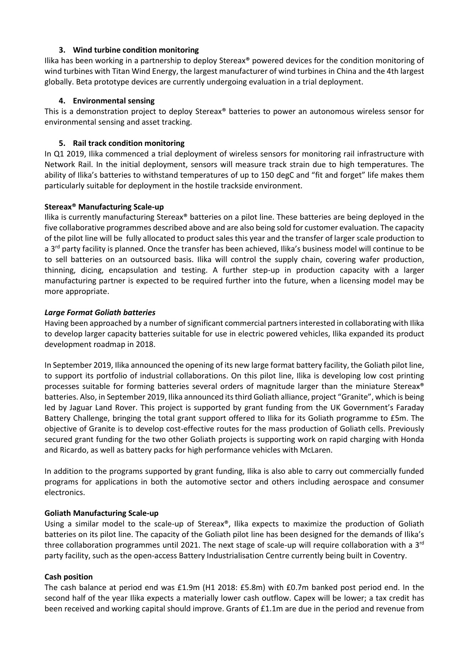## **3. Wind turbine condition monitoring**

Ilika has been working in a partnership to deploy Stereax® powered devices for the condition monitoring of wind turbines with Titan Wind Energy, the largest manufacturer of wind turbines in China and the 4th largest globally. Beta prototype devices are currently undergoing evaluation in a trial deployment.

## **4. Environmental sensing**

This is a demonstration project to deploy Stereax® batteries to power an autonomous wireless sensor for environmental sensing and asset tracking.

## **5. Rail track condition monitoring**

In Q1 2019, Ilika commenced a trial deployment of wireless sensors for monitoring rail infrastructure with Network Rail. In the initial deployment, sensors will measure track strain due to high temperatures. The ability of Ilika's batteries to withstand temperatures of up to 150 degC and "fit and forget" life makes them particularly suitable for deployment in the hostile trackside environment.

## **Stereax® Manufacturing Scale-up**

Ilika is currently manufacturing Stereax® batteries on a pilot line. These batteries are being deployed in the five collaborative programmes described above and are also being sold for customer evaluation. The capacity of the pilot line will be fully allocated to product sales this year and the transfer of larger scale production to a  $3^{rd}$  party facility is planned. Once the transfer has been achieved, Ilika's business model will continue to be to sell batteries on an outsourced basis. Ilika will control the supply chain, covering wafer production, thinning, dicing, encapsulation and testing. A further step-up in production capacity with a larger manufacturing partner is expected to be required further into the future, when a licensing model may be more appropriate.

## *Large Format Goliath batteries*

Having been approached by a number of significant commercial partners interested in collaborating with Ilika to develop larger capacity batteries suitable for use in electric powered vehicles, Ilika expanded its product development roadmap in 2018.

In September 2019, Ilika announced the opening of its new large format battery facility, the Goliath pilot line, to support its portfolio of industrial collaborations. On this pilot line, Ilika is developing low cost printing processes suitable for forming batteries several orders of magnitude larger than the miniature Stereax® batteries. Also, in September 2019, Ilika announced its third Goliath alliance, project "Granite", which is being led by Jaguar Land Rover. This project is supported by grant funding from the UK Government's Faraday Battery Challenge, bringing the total grant support offered to Ilika for its Goliath programme to £5m. The objective of Granite is to develop cost-effective routes for the mass production of Goliath cells. Previously secured grant funding for the two other Goliath projects is supporting work on rapid charging with Honda and Ricardo, as well as battery packs for high performance vehicles with McLaren.

In addition to the programs supported by grant funding, Ilika is also able to carry out commercially funded programs for applications in both the automotive sector and others including aerospace and consumer electronics.

#### **Goliath Manufacturing Scale-up**

Using a similar model to the scale-up of Stereax®, Ilika expects to maximize the production of Goliath batteries on its pilot line. The capacity of the Goliath pilot line has been designed for the demands of Ilika's three collaboration programmes until 2021. The next stage of scale-up will require collaboration with a  $3<sup>rd</sup>$ party facility, such as the open-access Battery Industrialisation Centre currently being built in Coventry.

#### **Cash position**

The cash balance at period end was £1.9m (H1 2018: £5.8m) with £0.7m banked post period end. In the second half of the year Ilika expects a materially lower cash outflow. Capex will be lower; a tax credit has been received and working capital should improve. Grants of £1.1m are due in the period and revenue from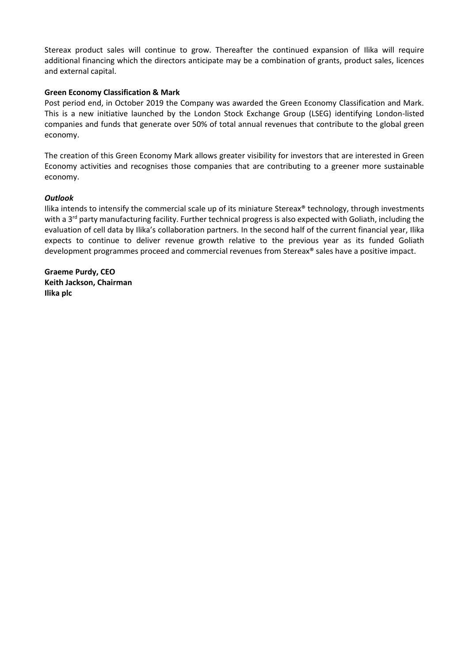Stereax product sales will continue to grow. Thereafter the continued expansion of Ilika will require additional financing which the directors anticipate may be a combination of grants, product sales, licences and external capital.

## **Green Economy Classification & Mark**

Post period end, in October 2019 the Company was awarded the Green Economy Classification and Mark. This is a new initiative launched by the London Stock Exchange Group (LSEG) identifying London-listed companies and funds that generate over 50% of total annual revenues that contribute to the global green economy.

The creation of this Green Economy Mark allows greater visibility for investors that are interested in Green Economy activities and recognises those companies that are contributing to a greener more sustainable economy.

#### *Outlook*

Ilika intends to intensify the commercial scale up of its miniature Stereax<sup>®</sup> technology, through investments with a 3<sup>rd</sup> party manufacturing facility. Further technical progress is also expected with Goliath, including the evaluation of cell data by Ilika's collaboration partners. In the second half of the current financial year, Ilika expects to continue to deliver revenue growth relative to the previous year as its funded Goliath development programmes proceed and commercial revenues from Stereax® sales have a positive impact.

**Graeme Purdy, CEO Keith Jackson, Chairman Ilika plc**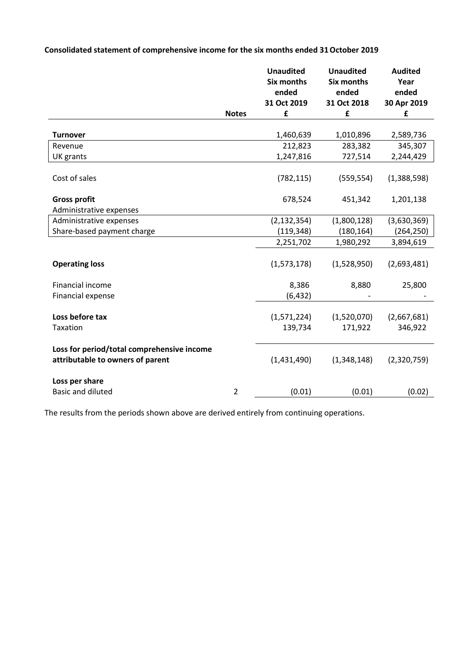# **Consolidated statement of comprehensive income for the six months ended 31October 2019**

|                                                                                |                | <b>Unaudited</b><br><b>Six months</b><br>ended | <b>Unaudited</b><br><b>Six months</b><br>ended | <b>Audited</b><br>Year<br>ended |
|--------------------------------------------------------------------------------|----------------|------------------------------------------------|------------------------------------------------|---------------------------------|
|                                                                                |                | 31 Oct 2019                                    | 31 Oct 2018                                    | 30 Apr 2019                     |
|                                                                                | <b>Notes</b>   | £                                              | £                                              | £                               |
|                                                                                |                |                                                |                                                |                                 |
| <b>Turnover</b>                                                                |                | 1,460,639                                      | 1,010,896                                      | 2,589,736                       |
| Revenue                                                                        |                | 212,823                                        | 283,382                                        | 345,307                         |
| UK grants                                                                      |                | 1,247,816                                      | 727,514                                        | 2,244,429                       |
| Cost of sales                                                                  |                | (782, 115)                                     | (559, 554)                                     | (1,388,598)                     |
| <b>Gross profit</b><br>Administrative expenses                                 |                | 678,524                                        | 451,342                                        | 1,201,138                       |
| Administrative expenses                                                        |                | (2, 132, 354)                                  | (1,800,128)                                    | (3,630,369)                     |
| Share-based payment charge                                                     |                | (119, 348)                                     | (180, 164)                                     | (264, 250)                      |
|                                                                                |                | 2,251,702                                      | 1,980,292                                      | 3,894,619                       |
|                                                                                |                |                                                |                                                |                                 |
| <b>Operating loss</b>                                                          |                | (1,573,178)                                    | (1,528,950)                                    | (2,693,481)                     |
| <b>Financial income</b>                                                        |                | 8,386                                          | 8,880                                          | 25,800                          |
| Financial expense                                                              |                | (6, 432)                                       |                                                |                                 |
|                                                                                |                |                                                |                                                |                                 |
| Loss before tax                                                                |                | (1,571,224)                                    | (1,520,070)                                    | (2,667,681)                     |
| Taxation                                                                       |                | 139,734                                        | 171,922                                        | 346,922                         |
|                                                                                |                |                                                |                                                |                                 |
| Loss for period/total comprehensive income<br>attributable to owners of parent |                | (1,431,490)                                    | (1,348,148)                                    | (2,320,759)                     |
| Loss per share                                                                 |                |                                                |                                                |                                 |
| <b>Basic and diluted</b>                                                       | $\overline{2}$ | (0.01)                                         | (0.01)                                         | (0.02)                          |

The results from the periods shown above are derived entirely from continuing operations.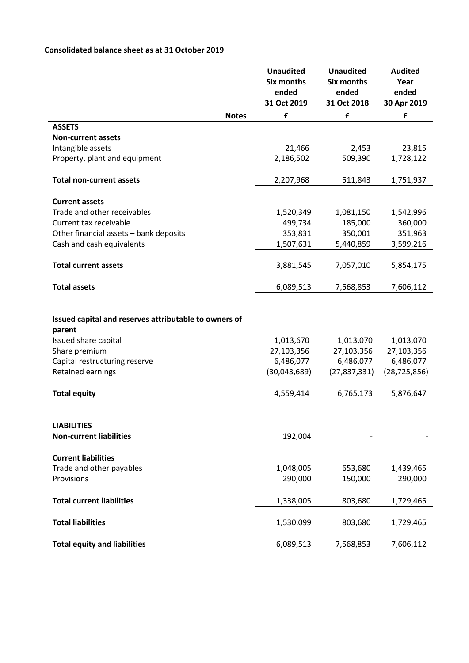# **Consolidated balance sheet as at 31 October 2019**

|                                                                                                                                           |              | <b>Unaudited</b><br><b>Six months</b><br>ended<br>31 Oct 2019 | <b>Unaudited</b><br><b>Six months</b><br>ended<br>31 Oct 2018 | <b>Audited</b><br>Year<br>ended<br>30 Apr 2019 |
|-------------------------------------------------------------------------------------------------------------------------------------------|--------------|---------------------------------------------------------------|---------------------------------------------------------------|------------------------------------------------|
|                                                                                                                                           | <b>Notes</b> | £                                                             | £                                                             | £                                              |
| <b>ASSETS</b>                                                                                                                             |              |                                                               |                                                               |                                                |
| <b>Non-current assets</b>                                                                                                                 |              |                                                               |                                                               |                                                |
| Intangible assets                                                                                                                         |              | 21,466                                                        | 2,453                                                         | 23,815                                         |
| Property, plant and equipment                                                                                                             |              | 2,186,502                                                     | 509,390                                                       | 1,728,122                                      |
| <b>Total non-current assets</b>                                                                                                           |              | 2,207,968                                                     | 511,843                                                       | 1,751,937                                      |
| <b>Current assets</b>                                                                                                                     |              |                                                               |                                                               |                                                |
| Trade and other receivables                                                                                                               |              | 1,520,349                                                     | 1,081,150                                                     | 1,542,996                                      |
| Current tax receivable                                                                                                                    |              | 499,734                                                       | 185,000                                                       | 360,000                                        |
| Other financial assets - bank deposits                                                                                                    |              | 353,831                                                       | 350,001                                                       | 351,963                                        |
| Cash and cash equivalents                                                                                                                 |              | 1,507,631                                                     | 5,440,859                                                     | 3,599,216                                      |
| <b>Total current assets</b>                                                                                                               |              | 3,881,545                                                     | 7,057,010                                                     | 5,854,175                                      |
| <b>Total assets</b>                                                                                                                       |              | 6,089,513                                                     | 7,568,853                                                     | 7,606,112                                      |
| Issued capital and reserves attributable to owners of<br>parent<br>Issued share capital<br>Share premium<br>Capital restructuring reserve |              | 1,013,670<br>27,103,356<br>6,486,077                          | 1,013,070<br>27,103,356<br>6,486,077                          | 1,013,070<br>27,103,356<br>6,486,077           |
| <b>Retained earnings</b>                                                                                                                  |              | (30,043,689)                                                  | (27, 837, 331)                                                | (28, 725, 856)                                 |
| <b>Total equity</b>                                                                                                                       |              | 4,559,414                                                     | 6,765,173                                                     | 5,876,647                                      |
| <b>LIABILITIES</b><br><b>Non-current liabilities</b>                                                                                      |              | 192,004                                                       |                                                               |                                                |
|                                                                                                                                           |              |                                                               |                                                               |                                                |
| <b>Current liabilities</b>                                                                                                                |              |                                                               |                                                               |                                                |
| Trade and other payables                                                                                                                  |              | 1,048,005                                                     | 653,680                                                       | 1,439,465                                      |
| Provisions                                                                                                                                |              | 290,000                                                       | 150,000                                                       | 290,000                                        |
| <b>Total current liabilities</b>                                                                                                          |              | 1,338,005                                                     | 803,680                                                       | 1,729,465                                      |
| <b>Total liabilities</b>                                                                                                                  |              | 1,530,099                                                     | 803,680                                                       | 1,729,465                                      |
| <b>Total equity and liabilities</b>                                                                                                       |              | 6,089,513                                                     | 7,568,853                                                     | 7,606,112                                      |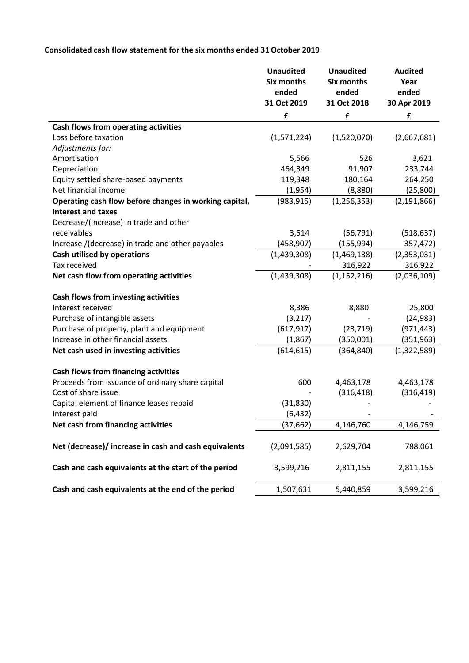# **Consolidated cash flow statement for the six months ended 31October 2019**

|                                                        | <b>Unaudited</b><br><b>Six months</b><br>ended<br>31 Oct 2019 | <b>Unaudited</b><br><b>Six months</b><br>ended<br>31 Oct 2018 | <b>Audited</b><br>Year<br>ended<br>30 Apr 2019 |
|--------------------------------------------------------|---------------------------------------------------------------|---------------------------------------------------------------|------------------------------------------------|
|                                                        | £                                                             | £                                                             | £                                              |
| Cash flows from operating activities                   |                                                               |                                                               |                                                |
| Loss before taxation                                   | (1,571,224)                                                   | (1,520,070)                                                   | (2,667,681)                                    |
| Adjustments for:                                       |                                                               |                                                               |                                                |
| Amortisation                                           | 5,566                                                         | 526                                                           | 3,621                                          |
| Depreciation                                           | 464,349                                                       | 91,907                                                        | 233,744                                        |
| Equity settled share-based payments                    | 119,348                                                       | 180,164                                                       | 264,250                                        |
| Net financial income                                   | (1,954)                                                       | (8,880)                                                       | (25,800)                                       |
| Operating cash flow before changes in working capital, | (983, 915)                                                    | (1, 256, 353)                                                 | (2, 191, 866)                                  |
| interest and taxes                                     |                                                               |                                                               |                                                |
| Decrease/(increase) in trade and other                 |                                                               |                                                               |                                                |
| receivables                                            | 3,514                                                         | (56, 791)                                                     | (518, 637)                                     |
| Increase /(decrease) in trade and other payables       | (458, 907)                                                    | (155, 994)                                                    | 357,472)                                       |
| <b>Cash utilised by operations</b>                     | (1,439,308)                                                   | (1,469,138)                                                   | (2,353,031)                                    |
| Tax received                                           |                                                               | 316,922                                                       | 316,922                                        |
| Net cash flow from operating activities                | (1,439,308)                                                   | (1, 152, 216)                                                 | (2,036,109)                                    |
| Cash flows from investing activities                   |                                                               |                                                               |                                                |
| Interest received                                      | 8,386                                                         | 8,880                                                         | 25,800                                         |
| Purchase of intangible assets                          | (3, 217)                                                      |                                                               | (24, 983)                                      |
| Purchase of property, plant and equipment              | (617, 917)                                                    | (23, 719)                                                     | (971, 443)                                     |
| Increase in other financial assets                     | (1,867)                                                       | (350,001)                                                     | (351, 963)                                     |
| Net cash used in investing activities                  | (614, 615)                                                    | (364, 840)                                                    | (1,322,589)                                    |
| <b>Cash flows from financing activities</b>            |                                                               |                                                               |                                                |
| Proceeds from issuance of ordinary share capital       | 600                                                           | 4,463,178                                                     | 4,463,178                                      |
| Cost of share issue                                    |                                                               | (316, 418)                                                    | (316, 419)                                     |
| Capital element of finance leases repaid               | (31, 830)                                                     |                                                               |                                                |
| Interest paid                                          | (6, 432)                                                      |                                                               |                                                |
| Net cash from financing activities                     | (37, 662)                                                     | 4,146,760                                                     | 4,146,759                                      |
| Net (decrease)/ increase in cash and cash equivalents  | (2,091,585)                                                   | 2,629,704                                                     | 788,061                                        |
| Cash and cash equivalents at the start of the period   | 3,599,216                                                     | 2,811,155                                                     | 2,811,155                                      |
| Cash and cash equivalents at the end of the period     | 1,507,631                                                     | 5,440,859                                                     | 3,599,216                                      |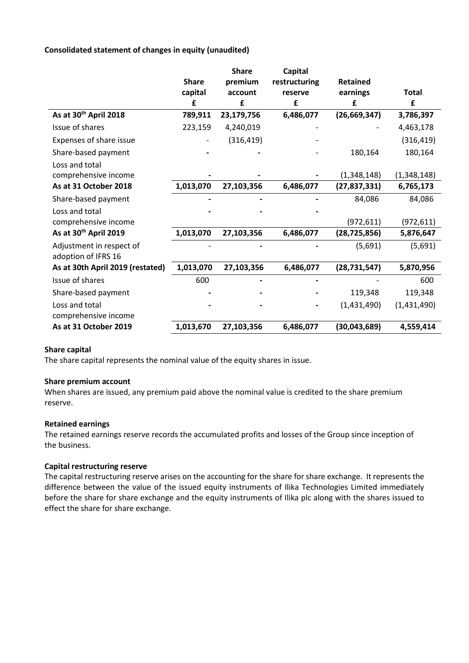## **Consolidated statement of changes in equity (unaudited)**

|                                   | <b>Share</b> | <b>Share</b><br>premium | Capital<br>restructuring | <b>Retained</b> |             |
|-----------------------------------|--------------|-------------------------|--------------------------|-----------------|-------------|
|                                   | capital      | account<br>£            | reserve                  | earnings        | Total<br>£  |
| As at 30 <sup>th</sup> April 2018 | £            |                         | £                        | £               |             |
|                                   | 789,911      | 23,179,756              | 6,486,077                | (26, 669, 347)  | 3,786,397   |
| Issue of shares                   | 223,159      | 4,240,019               |                          |                 | 4,463,178   |
| Expenses of share issue           |              | (316, 419)              |                          |                 | (316, 419)  |
| Share-based payment               |              |                         |                          | 180,164         | 180,164     |
| Loss and total                    |              |                         |                          |                 |             |
| comprehensive income              |              |                         |                          | (1,348,148)     | (1,348,148) |
| As at 31 October 2018             | 1,013,070    | 27,103,356              | 6,486,077                | (27, 837, 331)  | 6,765,173   |
| Share-based payment               |              |                         |                          | 84,086          | 84,086      |
| Loss and total                    |              |                         |                          |                 |             |
| comprehensive income              |              |                         |                          | (972, 611)      | (972, 611)  |
| As at 30 <sup>th</sup> April 2019 | 1,013,070    | 27,103,356              | 6,486,077                | (28, 725, 856)  | 5,876,647   |
| Adjustment in respect of          |              |                         |                          | (5,691)         | (5,691)     |
| adoption of IFRS 16               |              |                         |                          |                 |             |
| As at 30th April 2019 (restated)  | 1,013,070    | 27,103,356              | 6,486,077                | (28, 731, 547)  | 5,870,956   |
| Issue of shares                   | 600          |                         |                          |                 | 600         |
| Share-based payment               |              |                         |                          | 119,348         | 119,348     |
| Loss and total                    |              |                         |                          | (1,431,490)     | (1,431,490) |
| comprehensive income              |              |                         |                          |                 |             |
| As at 31 October 2019             | 1,013,670    | 27,103,356              | 6,486,077                | (30,043,689)    | 4,559,414   |

## **Share capital**

The share capital represents the nominal value of the equity shares in issue.

#### **Share premium account**

When shares are issued, any premium paid above the nominal value is credited to the share premium reserve.

#### **Retained earnings**

The retained earnings reserve records the accumulated profits and losses of the Group since inception of the business.

#### **Capital restructuring reserve**

The capital restructuring reserve arises on the accounting for the share for share exchange. It represents the difference between the value of the issued equity instruments of Ilika Technologies Limited immediately before the share for share exchange and the equity instruments of Ilika plc along with the shares issued to effect the share for share exchange.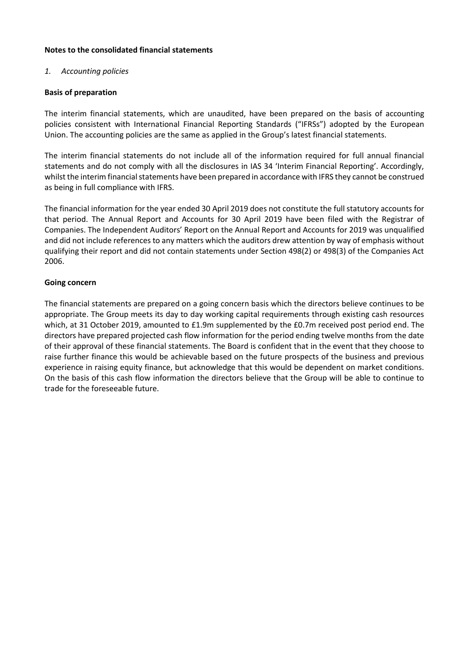#### **Notes to the consolidated financial statements**

## *1. Accounting policies*

## **Basis of preparation**

The interim financial statements, which are unaudited, have been prepared on the basis of accounting policies consistent with International Financial Reporting Standards ("IFRSs") adopted by the European Union. The accounting policies are the same as applied in the Group's latest financial statements.

The interim financial statements do not include all of the information required for full annual financial statements and do not comply with all the disclosures in IAS 34 'Interim Financial Reporting'. Accordingly, whilst the interim financial statements have been prepared in accordance with IFRS they cannot be construed as being in full compliance with IFRS.

The financial information for the year ended 30 April 2019 does not constitute the full statutory accounts for that period. The Annual Report and Accounts for 30 April 2019 have been filed with the Registrar of Companies. The Independent Auditors' Report on the Annual Report and Accounts for 2019 was unqualified and did not include references to any matters which the auditors drew attention by way of emphasis without qualifying their report and did not contain statements under Section 498(2) or 498(3) of the Companies Act 2006.

#### **Going concern**

The financial statements are prepared on a going concern basis which the directors believe continues to be appropriate. The Group meets its day to day working capital requirements through existing cash resources which, at 31 October 2019, amounted to £1.9m supplemented by the £0.7m received post period end. The directors have prepared projected cash flow information for the period ending twelve months from the date of their approval of these financial statements. The Board is confident that in the event that they choose to raise further finance this would be achievable based on the future prospects of the business and previous experience in raising equity finance, but acknowledge that this would be dependent on market conditions. On the basis of this cash flow information the directors believe that the Group will be able to continue to trade for the foreseeable future.